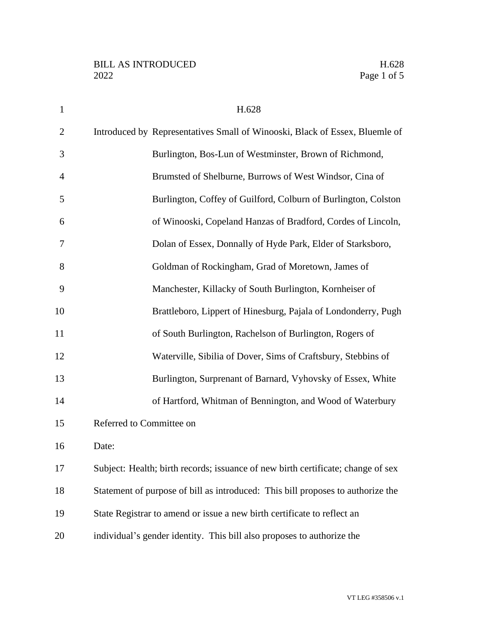| $\mathbf{1}$   | H.628                                                                            |
|----------------|----------------------------------------------------------------------------------|
| $\overline{2}$ | Introduced by Representatives Small of Winooski, Black of Essex, Bluemle of      |
| 3              | Burlington, Bos-Lun of Westminster, Brown of Richmond,                           |
| $\overline{4}$ | Brumsted of Shelburne, Burrows of West Windsor, Cina of                          |
| 5              | Burlington, Coffey of Guilford, Colburn of Burlington, Colston                   |
| 6              | of Winooski, Copeland Hanzas of Bradford, Cordes of Lincoln,                     |
| 7              | Dolan of Essex, Donnally of Hyde Park, Elder of Starksboro,                      |
| 8              | Goldman of Rockingham, Grad of Moretown, James of                                |
| 9              | Manchester, Killacky of South Burlington, Kornheiser of                          |
| 10             | Brattleboro, Lippert of Hinesburg, Pajala of Londonderry, Pugh                   |
| 11             | of South Burlington, Rachelson of Burlington, Rogers of                          |
| 12             | Waterville, Sibilia of Dover, Sims of Craftsbury, Stebbins of                    |
| 13             | Burlington, Surprenant of Barnard, Vyhovsky of Essex, White                      |
| 14             | of Hartford, Whitman of Bennington, and Wood of Waterbury                        |
| 15             | Referred to Committee on                                                         |
| 16             | Date:                                                                            |
| 17             | Subject: Health; birth records; issuance of new birth certificate; change of sex |
| 18             | Statement of purpose of bill as introduced: This bill proposes to authorize the  |
| 19             | State Registrar to amend or issue a new birth certificate to reflect an          |
| 20             | individual's gender identity. This bill also proposes to authorize the           |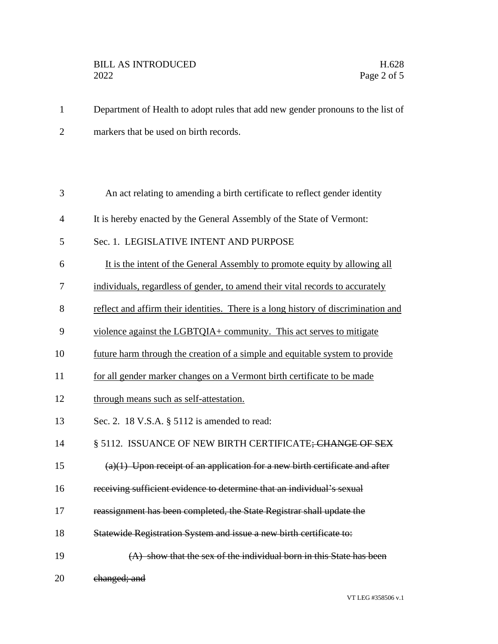1 Department of Health to adopt rules that add new gender pronouns to the list of 2 markers that be used on birth records.

| 3              | An act relating to amending a birth certificate to reflect gender identity         |
|----------------|------------------------------------------------------------------------------------|
| $\overline{4}$ | It is hereby enacted by the General Assembly of the State of Vermont:              |
| 5              | Sec. 1. LEGISLATIVE INTENT AND PURPOSE                                             |
| 6              | It is the intent of the General Assembly to promote equity by allowing all         |
| 7              | individuals, regardless of gender, to amend their vital records to accurately      |
| 8              | reflect and affirm their identities. There is a long history of discrimination and |
| 9              | violence against the LGBTQIA+ community. This act serves to mitigate               |
| 10             | future harm through the creation of a simple and equitable system to provide       |
| 11             | for all gender marker changes on a Vermont birth certificate to be made            |
| 12             | through means such as self-attestation.                                            |
| 13             | Sec. 2. 18 V.S.A. § 5112 is amended to read:                                       |
| 14             | § 5112. ISSUANCE OF NEW BIRTH CERTIFICATE; CHANGE OF SEX                           |
| 15             | $(a)(1)$ Upon receipt of an application for a new birth certificate and after      |
| 16             | receiving sufficient evidence to determine that an individual's sexual             |
| 17             | reassignment has been completed, the State Registrar shall update the              |
| 18             | Statewide Registration System and issue a new birth certificate to:                |
| 19             | (A) show that the sex of the individual born in this State has been                |
| 20             | changed; and                                                                       |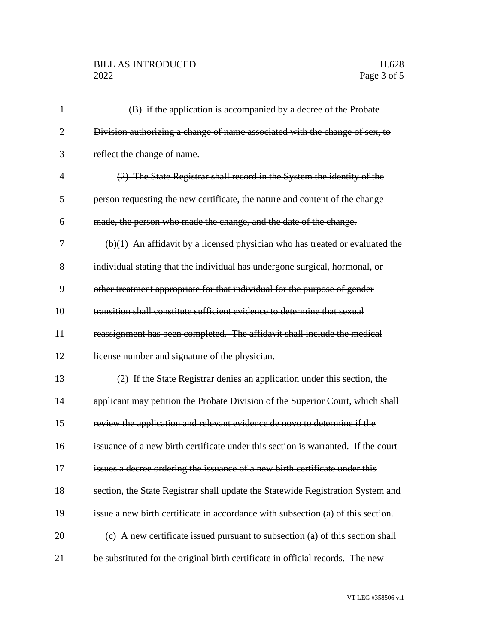## BILL AS INTRODUCED H.628<br>2022 Page 3 of 5

| $\mathbf{1}$   | (B) if the application is accompanied by a decree of the Probate                  |
|----------------|-----------------------------------------------------------------------------------|
| 2              | Division authorizing a change of name associated with the change of sex, to       |
| 3              | reflect the change of name.                                                       |
| $\overline{4}$ | (2) The State Registrar shall record in the System the identity of the            |
| 5              | person requesting the new certificate, the nature and content of the change       |
| 6              | made, the person who made the change, and the date of the change.                 |
| 7              | $(b)(1)$ An affidavit by a licensed physician who has treated or evaluated the    |
| 8              | individual stating that the individual has undergone surgical, hormonal, or       |
| 9              | other treatment appropriate for that individual for the purpose of gender         |
| 10             | transition shall constitute sufficient evidence to determine that sexual          |
| 11             | reassignment has been completed. The affidavit shall include the medical          |
| 12             | license number and signature of the physician.                                    |
| 13             | (2) If the State Registrar denies an application under this section, the          |
| 14             | applicant may petition the Probate Division of the Superior Court, which shall    |
| 15             | review the application and relevant evidence de novo to determine if the          |
| 16             | issuance of a new birth certificate under this section is warranted. If the court |
| 17             | issues a decree ordering the issuance of a new birth certificate under this       |
| 18             | section, the State Registrar shall update the Statewide Registration System and   |
| 19             | issue a new birth certificate in accordance with subsection (a) of this section.  |
| 20             | $(e)$ A new certificate issued pursuant to subsection $(a)$ of this section shall |
| 21             | be substituted for the original birth certificate in official records. The new    |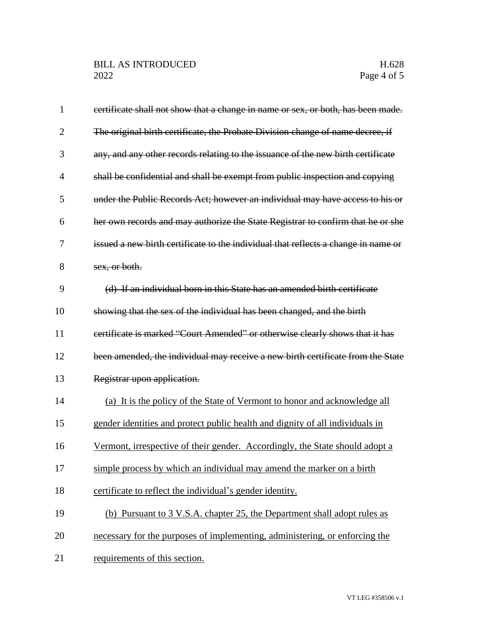| $\mathbf{1}$   | eertificate shall not show that a change in name or sex, or both, has been made.   |
|----------------|------------------------------------------------------------------------------------|
| $\overline{2}$ | The original birth certificate, the Probate Division change of name decree, if     |
| 3              | any, and any other records relating to the issuance of the new birth certificate   |
| 4              | shall be confidential and shall be exempt from public inspection and copying       |
| 5              | under the Public Records Act; however an individual may have access to his or      |
| 6              | her own records and may authorize the State Registrar to confirm that he or she    |
| 7              | issued a new birth certificate to the individual that reflects a change in name or |
| 8              | sex, or both.                                                                      |
| 9              | (d) If an individual born in this State has an amended birth certificate           |
| 10             | showing that the sex of the individual has been changed, and the birth             |
| 11             | certificate is marked "Court Amended" or otherwise clearly shows that it has       |
| 12             | been amended, the individual may receive a new birth certificate from the State    |
| 13             | Registrar upon application.                                                        |
| 14             | (a) It is the policy of the State of Vermont to honor and acknowledge all          |
| 15             | gender identities and protect public health and dignity of all individuals in      |
| 16             | Vermont, irrespective of their gender. Accordingly, the State should adopt a       |
| 17             | simple process by which an individual may amend the marker on a birth              |
| 18             | certificate to reflect the individual's gender identity.                           |
| 19             | (b) Pursuant to 3 V.S.A. chapter 25, the Department shall adopt rules as           |
| 20             | necessary for the purposes of implementing, administering, or enforcing the        |
| 21             | requirements of this section.                                                      |